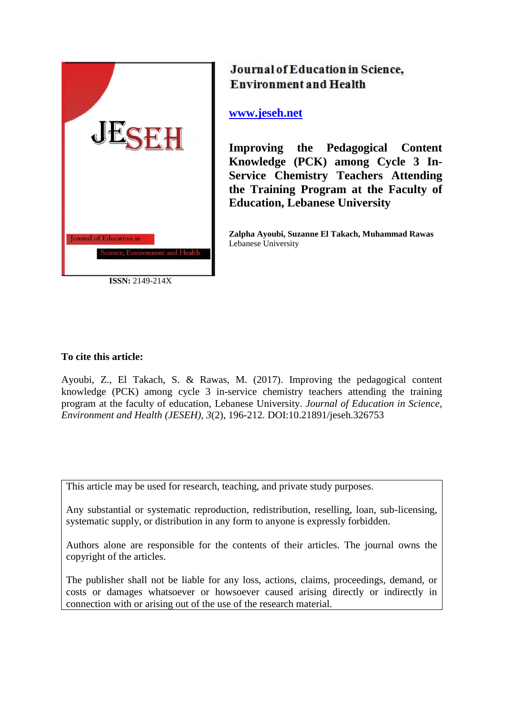

**ISSN:** 2149-214X

# Journal of Education in Science, **Environment and Health**

**[www.jeseh.net](file:///C:/Users/mustafa/Desktop/www.jeseh.net)**

**Improving the Pedagogical Content Knowledge (PCK) among Cycle 3 In-Service Chemistry Teachers Attending the Training Program at the Faculty of Education, Lebanese University** 

**Zalpha Ayoubi, Suzanne El Takach, Muhammad Rawas** Lebanese University

## **To cite this article:**

Ayoubi, Z., El Takach, S. & Rawas, M. (2017). Improving the pedagogical content knowledge (PCK) among cycle 3 in-service chemistry teachers attending the training program at the faculty of education, Lebanese University. *Journal of Education in Science, Environment and Health (JESEH), 3*(2), 196-212. DOI:10.21891/jeseh.326753

This article may be used for research, teaching, and private study purposes.

Any substantial or systematic reproduction, redistribution, reselling, loan, sub-licensing, systematic supply, or distribution in any form to anyone is expressly forbidden.

Authors alone are responsible for the contents of their articles. The journal owns the copyright of the articles.

The publisher shall not be liable for any loss, actions, claims, proceedings, demand, or costs or damages whatsoever or howsoever caused arising directly or indirectly in connection with or arising out of the use of the research material.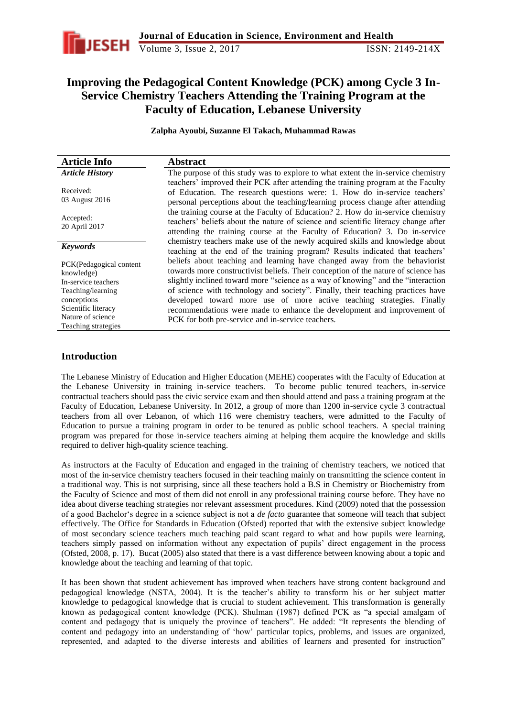

## **Improving the Pedagogical Content Knowledge (PCK) among Cycle 3 In-Service Chemistry Teachers Attending the Training Program at the Faculty of Education, Lebanese University**

**Zalpha Ayoubi, Suzanne El Takach, Muhammad Rawas**

| <b>Article Info</b>                   | <b>Abstract</b>                                                                                                                                                                                                                                      |
|---------------------------------------|------------------------------------------------------------------------------------------------------------------------------------------------------------------------------------------------------------------------------------------------------|
| <b>Article History</b>                | The purpose of this study was to explore to what extent the in-service chemistry                                                                                                                                                                     |
| Received:<br>03 August 2016           | teachers' improved their PCK after attending the training program at the Faculty<br>of Education. The research questions were: 1. How do in-service teachers'<br>personal perceptions about the teaching/learning process change after attending     |
| Accepted:<br>20 April 2017            | the training course at the Faculty of Education? 2. How do in-service chemistry<br>teachers' beliefs about the nature of science and scientific literacy change after<br>attending the training course at the Faculty of Education? 3. Do in-service |
| <b>Keywords</b>                       | chemistry teachers make use of the newly acquired skills and knowledge about<br>teaching at the end of the training program? Results indicated that teachers'                                                                                        |
| PCK(Pedagogical content<br>knowledge) | beliefs about teaching and learning have changed away from the behaviorist<br>towards more constructivist beliefs. Their conception of the nature of science has                                                                                     |
| In-service teachers                   | slightly inclined toward more "science as a way of knowing" and the "interaction"                                                                                                                                                                    |
| Teaching/learning                     | of science with technology and society". Finally, their teaching practices have                                                                                                                                                                      |
| conceptions                           | developed toward more use of more active teaching strategies. Finally                                                                                                                                                                                |
| Scientific literacy                   | recommendations were made to enhance the development and improvement of                                                                                                                                                                              |
| Nature of science                     | PCK for both pre-service and in-service teachers.                                                                                                                                                                                                    |
| Teaching strategies                   |                                                                                                                                                                                                                                                      |

## **Introduction**

The Lebanese Ministry of Education and Higher Education (MEHE) cooperates with the Faculty of Education at the Lebanese University in training in-service teachers. To become public tenured teachers, in-service contractual teachers should pass the civic service exam and then should attend and pass a training program at the Faculty of Education, Lebanese University. In 2012, a group of more than 1200 in-service cycle 3 contractual teachers from all over Lebanon, of which 116 were chemistry teachers, were admitted to the Faculty of Education to pursue a training program in order to be tenured as public school teachers. A special training program was prepared for those in-service teachers aiming at helping them acquire the knowledge and skills required to deliver high-quality science teaching.

As instructors at the Faculty of Education and engaged in the training of chemistry teachers, we noticed that most of the in-service chemistry teachers focused in their teaching mainly on transmitting the science content in a traditional way. This is not surprising, since all these teachers hold a B.S in Chemistry or Biochemistry from the Faculty of Science and most of them did not enroll in any professional training course before. They have no idea about diverse teaching strategies nor relevant assessment procedures. Kind (2009) noted that the possession of a good Bachelor"s degree in a science subject is not a *de facto* guarantee that someone will teach that subject effectively. The Office for Standards in Education (Ofsted) reported that with the extensive subject knowledge of most secondary science teachers much teaching paid scant regard to what and how pupils were learning, teachers simply passed on information without any expectation of pupils" direct engagement in the process (Ofsted, 2008, p. 17). Bucat (2005) also stated that there is a vast difference between knowing about a topic and knowledge about the teaching and learning of that topic.

It has been shown that student achievement has improved when teachers have strong content background and pedagogical knowledge (NSTA, 2004). It is the teacher"s ability to transform his or her subject matter knowledge to pedagogical knowledge that is crucial to student achievement. This transformation is generally known as pedagogical content knowledge (PCK). Shulman (1987) defined PCK as "a special amalgam of content and pedagogy that is uniquely the province of teachers". He added: "It represents the blending of content and pedagogy into an understanding of "how" particular topics, problems, and issues are organized, represented, and adapted to the diverse interests and abilities of learners and presented for instruction"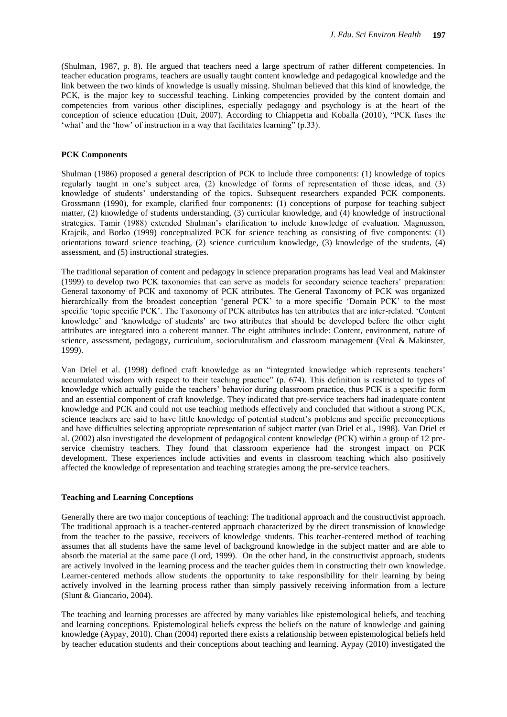(Shulman, 1987, p. 8). He argued that teachers need a large spectrum of rather different competencies. In teacher education programs, teachers are usually taught content knowledge and pedagogical knowledge and the link between the two kinds of knowledge is usually missing. Shulman believed that this kind of knowledge, the PCK, is the major key to successful teaching. Linking competencies provided by the content domain and competencies from various other disciplines, especially pedagogy and psychology is at the heart of the conception of science education (Duit, 2007). According to Chiappetta and Koballa (2010), "PCK fuses the 'what' and the 'how' of instruction in a way that facilitates learning" (p.33).

#### **PCK Components**

Shulman (1986) proposed a general description of PCK to include three components: (1) knowledge of topics regularly taught in one"s subject area, (2) knowledge of forms of representation of those ideas, and (3) knowledge of students" understanding of the topics. Subsequent researchers expanded PCK components. Grossmann (1990), for example, clarified four components: (1) conceptions of purpose for teaching subject matter, (2) knowledge of students understanding, (3) curricular knowledge, and (4) knowledge of instructional strategies. Tamir (1988) extended Shulman"s clarification to include knowledge of evaluation. Magnusson, Krajcik, and Borko (1999) conceptualized PCK for science teaching as consisting of five components: (1) orientations toward science teaching, (2) science curriculum knowledge, (3) knowledge of the students, (4) assessment, and (5) instructional strategies.

The traditional separation of content and pedagogy in science preparation programs has lead Veal and Makinster (1999) to develop two PCK taxonomies that can serve as models for secondary science teachers" preparation: General taxonomy of PCK and taxonomy of PCK attributes. The General Taxonomy of PCK was organized hierarchically from the broadest conception 'general PCK' to a more specific 'Domain PCK' to the most specific "topic specific PCK". The Taxonomy of PCK attributes has ten attributes that are inter-related. "Content knowledge' and 'knowledge of students' are two attributes that should be developed before the other eight attributes are integrated into a coherent manner. The eight attributes include: Content, environment, nature of science, assessment, pedagogy, curriculum, socioculturalism and classroom management (Veal & Makinster, 1999).

Van Driel et al. (1998) defined craft knowledge as an "integrated knowledge which represents teachers" accumulated wisdom with respect to their teaching practice" (p. 674). This definition is restricted to types of knowledge which actually guide the teachers" behavior during classroom practice, thus PCK is a specific form and an essential component of craft knowledge. They indicated that pre-service teachers had inadequate content knowledge and PCK and could not use teaching methods effectively and concluded that without a strong PCK, science teachers are said to have little knowledge of potential student"s problems and specific preconceptions and have difficulties selecting appropriate representation of subject matter (van Driel et al., 1998). Van Driel et al. (2002) also investigated the development of pedagogical content knowledge (PCK) within a group of 12 preservice chemistry teachers. They found that classroom experience had the strongest impact on PCK development. These experiences include activities and events in classroom teaching which also positively affected the knowledge of representation and teaching strategies among the pre-service teachers.

#### **Teaching and Learning Conceptions**

Generally there are two major conceptions of teaching: The traditional approach and the constructivist approach. The traditional approach is a teacher-centered approach characterized by the direct transmission of knowledge from the teacher to the passive, receivers of knowledge students. This teacher-centered method of teaching assumes that all students have the same level of background knowledge in the subject matter and are able to absorb the material at the same pace (Lord, 1999). On the other hand, in the constructivist approach, students are actively involved in the learning process and the teacher guides them in constructing their own knowledge. Learner-centered methods allow students the opportunity to take responsibility for their learning by being actively involved in the learning process rather than simply passively receiving information from a lecture (Slunt & Giancario, 2004).

The teaching and learning processes are affected by many variables like epistemological beliefs, and teaching and learning conceptions. Epistemological beliefs express the beliefs on the nature of knowledge and gaining knowledge (Aypay, 2010). Chan (2004) reported there exists a relationship between epistemological beliefs held by teacher education students and their conceptions about teaching and learning. Aypay (2010) investigated the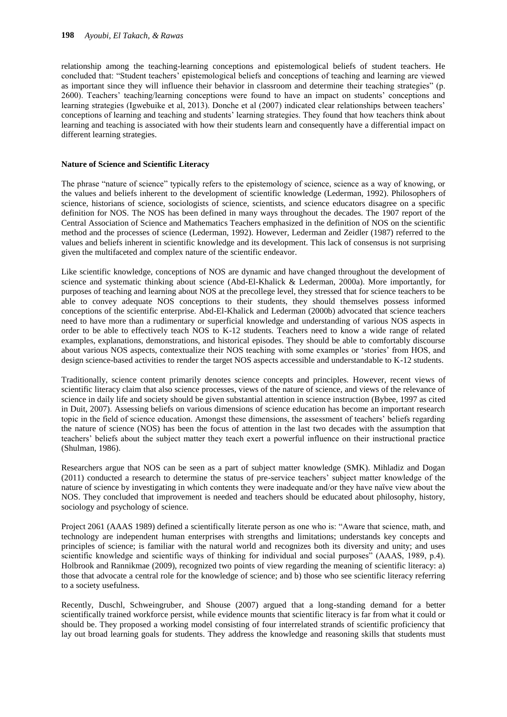relationship among the teaching-learning conceptions and epistemological beliefs of student teachers. He concluded that: "Student teachers" epistemological beliefs and conceptions of teaching and learning are viewed as important since they will influence their behavior in classroom and determine their teaching strategies" (p. 2600). Teachers" teaching/learning conceptions were found to have an impact on students" conceptions and learning strategies (Igwebuike et al, 2013). Donche et al (2007) indicated clear relationships between teachers" conceptions of learning and teaching and students" learning strategies. They found that how teachers think about learning and teaching is associated with how their students learn and consequently have a differential impact on different learning strategies.

#### **Nature of Science and Scientific Literacy**

The phrase "nature of science" typically refers to the epistemology of science, science as a way of knowing, or the values and beliefs inherent to the development of scientific knowledge (Lederman, 1992). Philosophers of science, historians of science, sociologists of science, scientists, and science educators disagree on a specific definition for NOS. The NOS has been defined in many ways throughout the decades. The 1907 report of the Central Association of Science and Mathematics Teachers emphasized in the definition of NOS on the scientific method and the processes of science (Lederman, 1992). However, Lederman and Zeidler (1987) referred to the values and beliefs inherent in scientific knowledge and its development. This lack of consensus is not surprising given the multifaceted and complex nature of the scientific endeavor.

Like scientific knowledge, conceptions of NOS are dynamic and have changed throughout the development of science and systematic thinking about science (Abd-El-Khalick & Lederman, 2000a). More importantly, for purposes of teaching and learning about NOS at the precollege level, they stressed that for science teachers to be able to convey adequate NOS conceptions to their students, they should themselves possess informed conceptions of the scientific enterprise. Abd-El-Khalick and Lederman (2000b) advocated that science teachers need to have more than a rudimentary or superficial knowledge and understanding of various NOS aspects in order to be able to effectively teach NOS to K-12 students. Teachers need to know a wide range of related examples, explanations, demonstrations, and historical episodes. They should be able to comfortably discourse about various NOS aspects, contextualize their NOS teaching with some examples or "stories" from HOS, and design science-based activities to render the target NOS aspects accessible and understandable to K-12 students.

Traditionally, science content primarily denotes science concepts and principles. However, recent views of scientific literacy claim that also science processes, views of the nature of science, and views of the relevance of science in daily life and society should be given substantial attention in science instruction (Bybee, 1997 as cited in Duit, 2007). Assessing beliefs on various dimensions of science education has become an important research topic in the field of science education. Amongst these dimensions, the assessment of teachers" beliefs regarding the nature of science (NOS) has been the focus of attention in the last two decades with the assumption that teachers" beliefs about the subject matter they teach exert a powerful influence on their instructional practice (Shulman, 1986).

Researchers argue that NOS can be seen as a part of subject matter knowledge (SMK). Mihladiz and Dogan (2011) conducted a research to determine the status of pre-service teachers" subject matter knowledge of the nature of science by investigating in which contents they were inadequate and/or they have naïve view about the NOS. They concluded that improvement is needed and teachers should be educated about philosophy, history, sociology and psychology of science.

Project 2061 (AAAS 1989) defined a scientifically literate person as one who is: "Aware that science, math, and technology are independent human enterprises with strengths and limitations; understands key concepts and principles of science; is familiar with the natural world and recognizes both its diversity and unity; and uses scientific knowledge and scientific ways of thinking for individual and social purposes" (AAAS, 1989, p.4). Holbrook and Rannikmae (2009), recognized two points of view regarding the meaning of scientific literacy: a) those that advocate a central role for the knowledge of science; and b) those who see scientific literacy referring to a society usefulness.

Recently, Duschl, Schweingruber, and Shouse (2007) argued that a long-standing demand for a better scientifically trained workforce persist, while evidence mounts that scientific literacy is far from what it could or should be. They proposed a working model consisting of four interrelated strands of scientific proficiency that lay out broad learning goals for students. They address the knowledge and reasoning skills that students must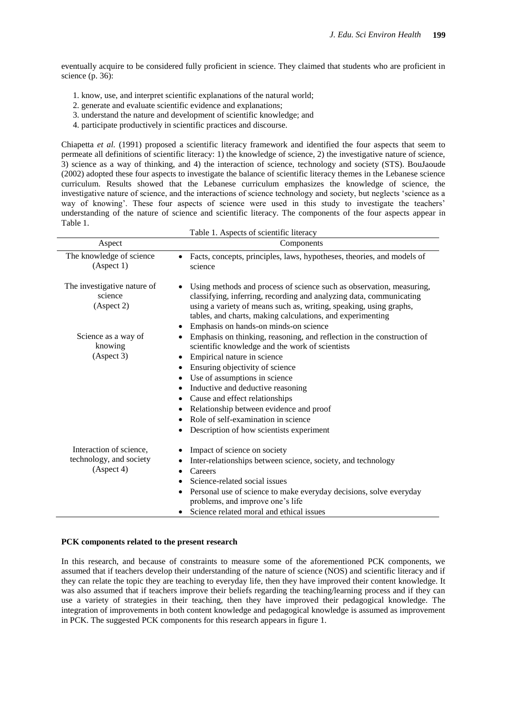eventually acquire to be considered fully proficient in science. They claimed that students who are proficient in science (p. 36):

- 1. know, use, and interpret scientific explanations of the natural world;
- 2. generate and evaluate scientific evidence and explanations;
- 3. understand the nature and development of scientific knowledge; and
- 4. participate productively in scientific practices and discourse.

Chiapetta *et al.* (1991) proposed a scientific literacy framework and identified the four aspects that seem to permeate all definitions of scientific literacy: 1) the knowledge of science, 2) the investigative nature of science, 3) science as a way of thinking, and 4) the interaction of science, technology and society (STS). BouJaoude (2002) adopted these four aspects to investigate the balance of scientific literacy themes in the Lebanese science curriculum. Results showed that the Lebanese curriculum emphasizes the knowledge of science, the investigative nature of science, and the interactions of science technology and society, but neglects "science as a way of knowing'. These four aspects of science were used in this study to investigate the teachers' understanding of the nature of science and scientific literacy. The components of the four aspects appear in Table 1.  $Table 1. Aesects of scientific lit$ 

|                                                                              | Table 1. Aspects of scientific meracy                                                                                                                                                                                                                                                                                                                                                                                                                                      |
|------------------------------------------------------------------------------|----------------------------------------------------------------------------------------------------------------------------------------------------------------------------------------------------------------------------------------------------------------------------------------------------------------------------------------------------------------------------------------------------------------------------------------------------------------------------|
| Aspect                                                                       | Components                                                                                                                                                                                                                                                                                                                                                                                                                                                                 |
| The knowledge of science<br>(Aspect 1)                                       | Facts, concepts, principles, laws, hypotheses, theories, and models of<br>science                                                                                                                                                                                                                                                                                                                                                                                          |
| The investigative nature of<br>science<br>(A <sub>spect</sub> 2)             | Using methods and process of science such as observation, measuring,<br>classifying, inferring, recording and analyzing data, communicating<br>using a variety of means such as, writing, speaking, using graphs,<br>tables, and charts, making calculations, and experimenting<br>Emphasis on hands-on minds-on science                                                                                                                                                   |
| Science as a way of<br>knowing<br>(A <sub>spect</sub> 3)                     | Emphasis on thinking, reasoning, and reflection in the construction of<br>٠<br>scientific knowledge and the work of scientists<br>Empirical nature in science<br>٠<br>Ensuring objectivity of science<br>Use of assumptions in science<br>Inductive and deductive reasoning<br>$\bullet$<br>Cause and effect relationships<br>٠<br>Relationship between evidence and proof<br>$\bullet$<br>Role of self-examination in science<br>Description of how scientists experiment |
| Interaction of science,<br>technology, and society<br>(A <sub>spect</sub> 4) | Impact of science on society<br>Inter-relationships between science, society, and technology<br>Careers<br>$\bullet$<br>Science-related social issues<br>$\bullet$<br>Personal use of science to make everyday decisions, solve everyday<br>problems, and improve one's life<br>• Science related moral and ethical issues                                                                                                                                                 |

#### **PCK components related to the present research**

In this research, and because of constraints to measure some of the aforementioned PCK components, we assumed that if teachers develop their understanding of the nature of science (NOS) and scientific literacy and if they can relate the topic they are teaching to everyday life, then they have improved their content knowledge. It was also assumed that if teachers improve their beliefs regarding the teaching/learning process and if they can use a variety of strategies in their teaching, then they have improved their pedagogical knowledge. The integration of improvements in both content knowledge and pedagogical knowledge is assumed as improvement in PCK. The suggested PCK components for this research appears in figure 1.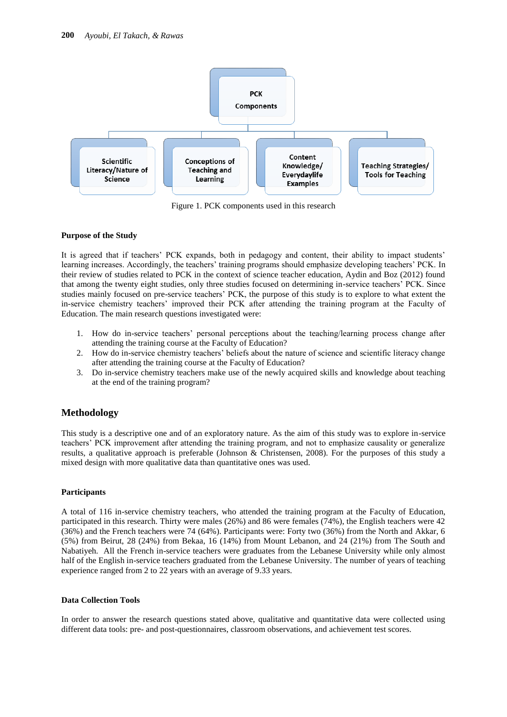

Figure 1. PCK components used in this research

#### **Purpose of the Study**

It is agreed that if teachers' PCK expands, both in pedagogy and content, their ability to impact students' learning increases. Accordingly, the teachers' training programs should emphasize developing teachers' PCK. In their review of studies related to PCK in the context of science teacher education, Aydin and Boz (2012) found that among the twenty eight studies, only three studies focused on determining in-service teachers" PCK. Since studies mainly focused on pre-service teachers" PCK, the purpose of this study is to explore to what extent the in-service chemistry teachers" improved their PCK after attending the training program at the Faculty of Education. The main research questions investigated were:

- 1. How do in-service teachers" personal perceptions about the teaching/learning process change after attending the training course at the Faculty of Education?
- 2. How do in-service chemistry teachers" beliefs about the nature of science and scientific literacy change after attending the training course at the Faculty of Education?
- 3. Do in-service chemistry teachers make use of the newly acquired skills and knowledge about teaching at the end of the training program?

## **Methodology**

This study is a descriptive one and of an exploratory nature. As the aim of this study was to explore in-service teachers" PCK improvement after attending the training program, and not to emphasize causality or generalize results, a qualitative approach is preferable (Johnson & Christensen, 2008). For the purposes of this study a mixed design with more qualitative data than quantitative ones was used.

#### **Participants**

A total of 116 in-service chemistry teachers, who attended the training program at the Faculty of Education, participated in this research. Thirty were males (26%) and 86 were females (74%), the English teachers were 42 (36%) and the French teachers were 74 (64%). Participants were: Forty two (36%) from the North and Akkar, 6 (5%) from Beirut, 28 (24%) from Bekaa, 16 (14%) from Mount Lebanon, and 24 (21%) from The South and Nabatiyeh. All the French in-service teachers were graduates from the Lebanese University while only almost half of the English in-service teachers graduated from the Lebanese University. The number of years of teaching experience ranged from 2 to 22 years with an average of 9.33 years.

#### **Data Collection Tools**

In order to answer the research questions stated above, qualitative and quantitative data were collected using different data tools: pre- and post-questionnaires, classroom observations, and achievement test scores.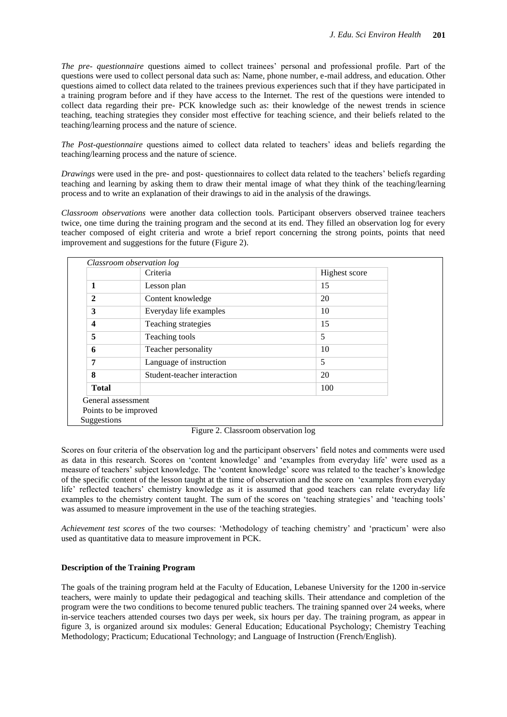*The pre- questionnaire* questions aimed to collect trainees" personal and professional profile. Part of the questions were used to collect personal data such as: Name, phone number, e-mail address, and education. Other questions aimed to collect data related to the trainees previous experiences such that if they have participated in a training program before and if they have access to the Internet. The rest of the questions were intended to collect data regarding their pre- PCK knowledge such as: their knowledge of the newest trends in science teaching, teaching strategies they consider most effective for teaching science, and their beliefs related to the teaching/learning process and the nature of science.

*The Post-questionnaire* questions aimed to collect data related to teachers" ideas and beliefs regarding the teaching/learning process and the nature of science.

*Drawings* were used in the pre- and post- questionnaires to collect data related to the teachers' beliefs regarding teaching and learning by asking them to draw their mental image of what they think of the teaching/learning process and to write an explanation of their drawings to aid in the analysis of the drawings.

*Classroom observations* were another data collection tools. Participant observers observed trainee teachers twice, one time during the training program and the second at its end. They filled an observation log for every teacher composed of eight criteria and wrote a brief report concerning the strong points, points that need improvement and suggestions for the future (Figure 2).

|                       | Criteria                    | Highest score |
|-----------------------|-----------------------------|---------------|
| 1                     | Lesson plan                 | 15            |
| $\mathbf{2}$          | Content knowledge           | 20            |
| 3                     | Everyday life examples      | 10            |
| 4                     | Teaching strategies         | 15            |
| 5                     | Teaching tools              | 5             |
| 6                     | Teacher personality         | 10            |
| 7                     | Language of instruction     | 5             |
| 8                     | Student-teacher interaction | 20            |
| <b>Total</b>          |                             | 100           |
| General assessment    |                             |               |
| Points to be improved |                             |               |

Figure 2. Classroom observation log

Scores on four criteria of the observation log and the participant observers" field notes and comments were used as data in this research. Scores on 'content knowledge' and 'examples from everyday life' were used as a measure of teachers' subject knowledge. The 'content knowledge' score was related to the teacher's knowledge of the specific content of the lesson taught at the time of observation and the score on "examples from everyday life' reflected teachers' chemistry knowledge as it is assumed that good teachers can relate everyday life examples to the chemistry content taught. The sum of the scores on 'teaching strategies' and 'teaching tools' was assumed to measure improvement in the use of the teaching strategies.

*Achievement test scores* of the two courses: "Methodology of teaching chemistry" and "practicum" were also used as quantitative data to measure improvement in PCK.

## **Description of the Training Program**

The goals of the training program held at the Faculty of Education, Lebanese University for the 1200 in-service teachers, were mainly to update their pedagogical and teaching skills. Their attendance and completion of the program were the two conditions to become tenured public teachers. The training spanned over 24 weeks, where in-service teachers attended courses two days per week, six hours per day. The training program, as appear in figure 3, is organized around six modules: General Education; Educational Psychology; Chemistry Teaching Methodology; Practicum; Educational Technology; and Language of Instruction (French/English).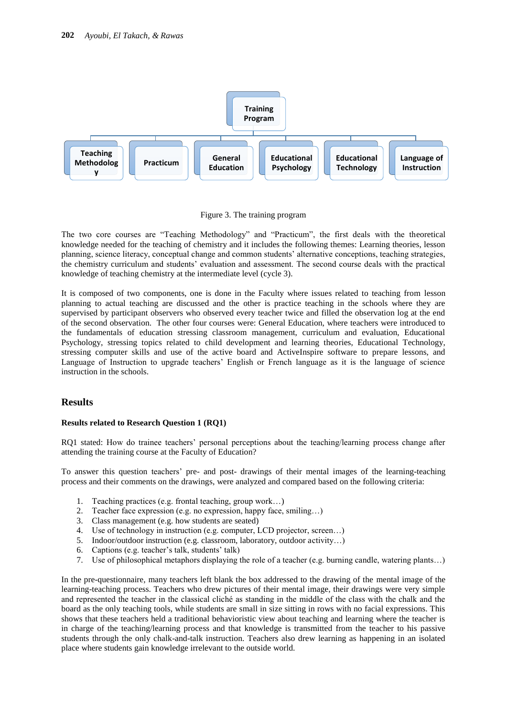

Figure 3. The training program

The two core courses are "Teaching Methodology" and "Practicum", the first deals with the theoretical knowledge needed for the teaching of chemistry and it includes the following themes: Learning theories, lesson planning, science literacy, conceptual change and common students" alternative conceptions, teaching strategies, the chemistry curriculum and students" evaluation and assessment. The second course deals with the practical knowledge of teaching chemistry at the intermediate level (cycle 3).

It is composed of two components, one is done in the Faculty where issues related to teaching from lesson planning to actual teaching are discussed and the other is practice teaching in the schools where they are supervised by participant observers who observed every teacher twice and filled the observation log at the end of the second observation. The other four courses were: General Education, where teachers were introduced to the fundamentals of education stressing classroom management, curriculum and evaluation, Educational Psychology, stressing topics related to child development and learning theories, Educational Technology, stressing computer skills and use of the active board and ActiveInspire software to prepare lessons, and Language of Instruction to upgrade teachers" English or French language as it is the language of science instruction in the schools.

## **Results**

#### **Results related to Research Question 1 (RQ1)**

RQ1 stated: How do trainee teachers" personal perceptions about the teaching/learning process change after attending the training course at the Faculty of Education?

To answer this question teachers" pre- and post- drawings of their mental images of the learning-teaching process and their comments on the drawings, were analyzed and compared based on the following criteria:

- 1. Teaching practices (e.g. frontal teaching, group work…)
- 2. Teacher face expression (e.g. no expression, happy face, smiling…)
- 3. Class management (e.g. how students are seated)
- 4. Use of technology in instruction (e.g. computer, LCD projector, screen…)
- 5. Indoor/outdoor instruction (e.g. classroom, laboratory, outdoor activity…)
- 6. Captions (e.g. teacher"s talk, students" talk)
- 7. Use of philosophical metaphors displaying the role of a teacher (e.g. burning candle, watering plants…)

In the pre-questionnaire, many teachers left blank the box addressed to the drawing of the mental image of the learning-teaching process. Teachers who drew pictures of their mental image, their drawings were very simple and represented the teacher in the classical cliché as standing in the middle of the class with the chalk and the board as the only teaching tools, while students are small in size sitting in rows with no facial expressions. This shows that these teachers held a traditional behavioristic view about teaching and learning where the teacher is in charge of the teaching/learning process and that knowledge is transmitted from the teacher to his passive students through the only chalk-and-talk instruction. Teachers also drew learning as happening in an isolated place where students gain knowledge irrelevant to the outside world.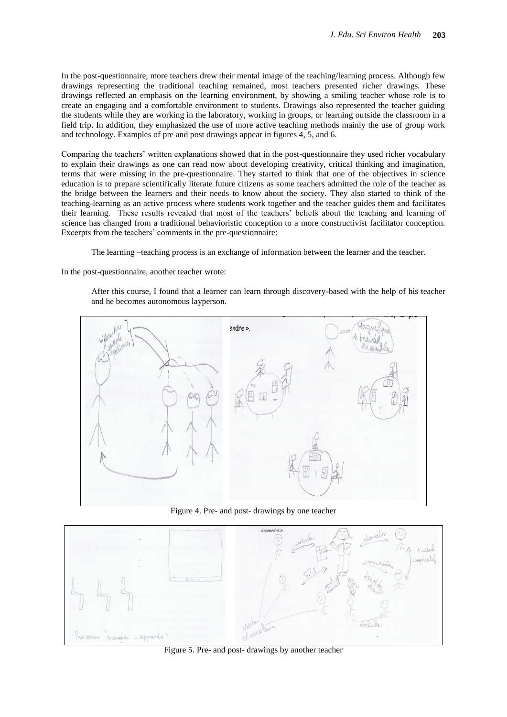In the post-questionnaire, more teachers drew their mental image of the teaching/learning process. Although few drawings representing the traditional teaching remained, most teachers presented richer drawings. These drawings reflected an emphasis on the learning environment, by showing a smiling teacher whose role is to create an engaging and a comfortable environment to students. Drawings also represented the teacher guiding the students while they are working in the laboratory, working in groups, or learning outside the classroom in a field trip. In addition, they emphasized the use of more active teaching methods mainly the use of group work and technology. Examples of pre and post drawings appear in figures 4, 5, and 6.

Comparing the teachers" written explanations showed that in the post-questionnaire they used richer vocabulary to explain their drawings as one can read now about developing creativity, critical thinking and imagination, terms that were missing in the pre-questionnaire. They started to think that one of the objectives in science education is to prepare scientifically literate future citizens as some teachers admitted the role of the teacher as the bridge between the learners and their needs to know about the society. They also started to think of the teaching-learning as an active process where students work together and the teacher guides them and facilitates their learning. These results revealed that most of the teachers" beliefs about the teaching and learning of science has changed from a traditional behavioristic conception to a more constructivist facilitator conception. Excerpts from the teachers' comments in the pre-questionnaire:

The learning –teaching process is an exchange of information between the learner and the teacher.

In the post-questionnaire, another teacher wrote:

After this course, I found that a learner can learn through discovery-based with the help of his teacher and he becomes autonomous layperson.



Figure 4. Pre- and post- drawings by one teacher



Figure 5. Pre- and post- drawings by another teacher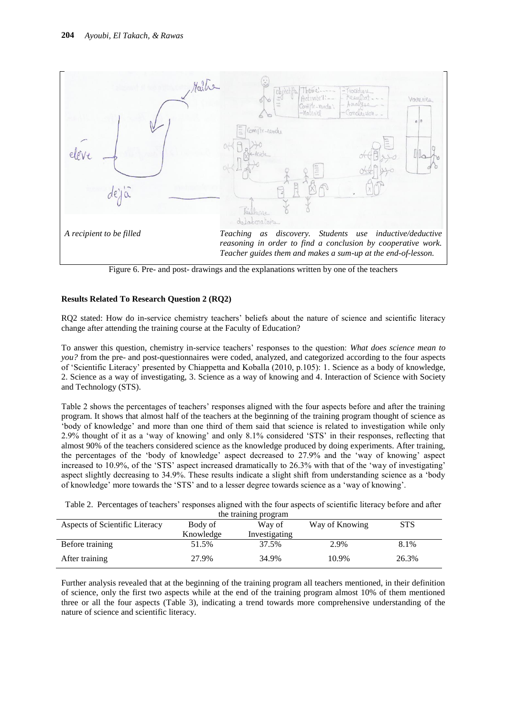

Figure 6. Pre- and post- drawings and the explanations written by one of the teachers

## **Results Related To Research Question 2 (RQ2)**

RQ2 stated: How do in-service chemistry teachers" beliefs about the nature of science and scientific literacy change after attending the training course at the Faculty of Education?

To answer this question, chemistry in-service teachers" responses to the question: *What does science mean to you?* from the pre- and post-questionnaires were coded, analyzed, and categorized according to the four aspects of "Scientific Literacy" presented by Chiappetta and Koballa (2010, p.105): 1. Science as a body of knowledge, 2. Science as a way of investigating, 3. Science as a way of knowing and 4. Interaction of Science with Society and Technology (STS).

Table 2 shows the percentages of teachers' responses aligned with the four aspects before and after the training program. It shows that almost half of the teachers at the beginning of the training program thought of science as "body of knowledge" and more than one third of them said that science is related to investigation while only 2.9% thought of it as a "way of knowing" and only 8.1% considered "STS" in their responses, reflecting that almost 90% of the teachers considered science as the knowledge produced by doing experiments. After training, the percentages of the "body of knowledge" aspect decreased to 27.9% and the "way of knowing" aspect increased to 10.9%, of the 'STS' aspect increased dramatically to 26.3% with that of the 'way of investigating' aspect slightly decreasing to 34.9%. These results indicate a slight shift from understanding science as a "body of knowledge" more towards the "STS" and to a lesser degree towards science as a "way of knowing".

| the training program           |           |               |                |            |  |  |  |
|--------------------------------|-----------|---------------|----------------|------------|--|--|--|
| Aspects of Scientific Literacy | Body of   | Way of        | Way of Knowing | <b>STS</b> |  |  |  |
|                                | Knowledge | Investigating |                |            |  |  |  |
| Before training                | 51.5%     | 37.5%         | 2.9%           | 8.1%       |  |  |  |
| After training                 | 27.9%     | 34.9%         | 10.9%          | 26.3%      |  |  |  |

Table 2. Percentages of teachers' responses aligned with the four aspects of scientific literacy before and after

Further analysis revealed that at the beginning of the training program all teachers mentioned, in their definition of science, only the first two aspects while at the end of the training program almost 10% of them mentioned three or all the four aspects (Table 3), indicating a trend towards more comprehensive understanding of the nature of science and scientific literacy.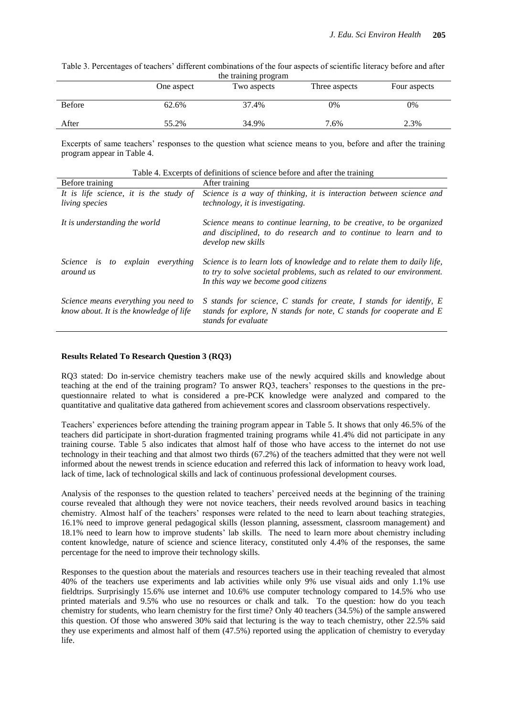Table 3. Percentages of teachers' different combinations of the four aspects of scientific literacy before and after the training program

|               | One aspect | -900-900-000<br>Two aspects | Three aspects | Four aspects |
|---------------|------------|-----------------------------|---------------|--------------|
| <b>Before</b> | 62.6%      | 37.4%                       | 0%            | 0%           |
| After         | 55.2%      | 34.9%                       | 7.6%          | 2.3%         |

Excerpts of same teachers' responses to the question what science means to you, before and after the training program appear in Table 4.

Table 4. Excerpts of definitions of science before and after the training

| Before training                                                                 | After training                                                                                                                                                                           |
|---------------------------------------------------------------------------------|------------------------------------------------------------------------------------------------------------------------------------------------------------------------------------------|
| It is life science, it is the study of<br>living species                        | Science is a way of thinking, it is interaction between science and<br><i>technology, it is investigating.</i>                                                                           |
| It is understanding the world                                                   | Science means to continue learning, to be creative, to be organized<br>and disciplined, to do research and to continue to learn and to<br>develop new skills                             |
| <i>Science</i> is<br>to explain<br>everything<br>around us                      | Science is to learn lots of knowledge and to relate them to daily life,<br>to try to solve societal problems, such as related to our environment.<br>In this way we become good citizens |
| Science means everything you need to<br>know about. It is the knowledge of life | S stands for science, C stands for create, I stands for identify, E<br>stands for explore, N stands for note, C stands for cooperate and $E$<br>stands for evaluate                      |

#### **Results Related To Research Question 3 (RQ3)**

RQ3 stated: Do in-service chemistry teachers make use of the newly acquired skills and knowledge about teaching at the end of the training program? To answer RQ3, teachers" responses to the questions in the prequestionnaire related to what is considered a pre-PCK knowledge were analyzed and compared to the quantitative and qualitative data gathered from achievement scores and classroom observations respectively.

Teachers" experiences before attending the training program appear in Table 5. It shows that only 46.5% of the teachers did participate in short-duration fragmented training programs while 41.4% did not participate in any training course. Table 5 also indicates that almost half of those who have access to the internet do not use technology in their teaching and that almost two thirds (67.2%) of the teachers admitted that they were not well informed about the newest trends in science education and referred this lack of information to heavy work load, lack of time, lack of technological skills and lack of continuous professional development courses.

Analysis of the responses to the question related to teachers" perceived needs at the beginning of the training course revealed that although they were not novice teachers, their needs revolved around basics in teaching chemistry. Almost half of the teachers" responses were related to the need to learn about teaching strategies, 16.1% need to improve general pedagogical skills (lesson planning, assessment, classroom management) and 18.1% need to learn how to improve students" lab skills. The need to learn more about chemistry including content knowledge, nature of science and science literacy, constituted only 4.4% of the responses, the same percentage for the need to improve their technology skills.

Responses to the question about the materials and resources teachers use in their teaching revealed that almost 40% of the teachers use experiments and lab activities while only 9% use visual aids and only 1.1% use fieldtrips. Surprisingly 15.6% use internet and 10.6% use computer technology compared to 14.5% who use printed materials and 9.5% who use no resources or chalk and talk. To the question: how do you teach chemistry for students, who learn chemistry for the first time? Only 40 teachers (34.5%) of the sample answered this question. Of those who answered 30% said that lecturing is the way to teach chemistry, other 22.5% said they use experiments and almost half of them (47.5%) reported using the application of chemistry to everyday life.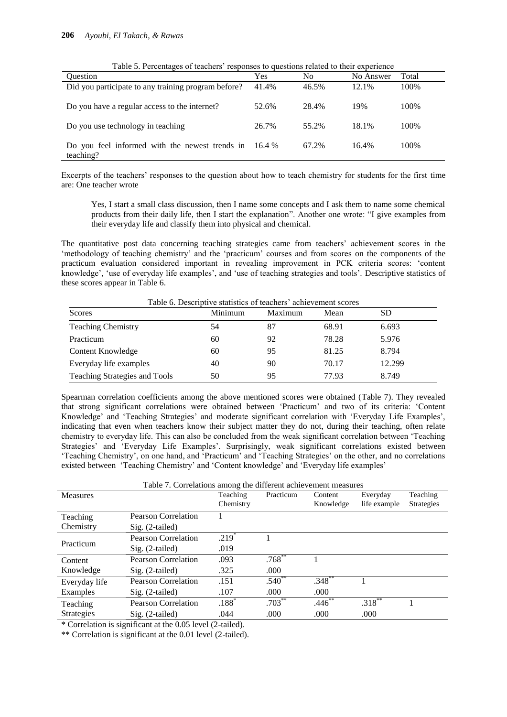| Table 5. Percentages of teachers Tespolises to questions related to their experience |          |       |           |       |  |
|--------------------------------------------------------------------------------------|----------|-------|-----------|-------|--|
| <b>Ouestion</b>                                                                      | Yes      | No    | No Answer | Total |  |
| Did you participate to any training program before?                                  | 41.4%    | 46.5% | 12.1%     | 100%  |  |
| Do you have a regular access to the internet?                                        | 52.6%    | 28.4% | 19%       | 100%  |  |
| Do you use technology in teaching                                                    | 26.7%    | 55.2% | 18.1%     | 100%  |  |
| Do you feel informed with the newest trends in<br>teaching?                          | $16.4\%$ | 67.2% | 16.4%     | 100%  |  |

 $T_{\text{S}}$   $\text{truncor}$   $\text{truncor}$  responses to questions related to their experience

Excerpts of the teachers" responses to the question about how to teach chemistry for students for the first time are: One teacher wrote

Yes, I start a small class discussion, then I name some concepts and I ask them to name some chemical products from their daily life, then I start the explanation". Another one wrote: "I give examples from their everyday life and classify them into physical and chemical.

The quantitative post data concerning teaching strategies came from teachers" achievement scores in the 'methodology of teaching chemistry' and the 'practicum' courses and from scores on the components of the practicum evaluation considered important in revealing improvement in PCK criteria scores: "content knowledge', 'use of everyday life examples', and 'use of teaching strategies and tools'. Descriptive statistics of these scores appear in Table 6.

| Table 6. Descriptive statistics of teachers' achievement scores |         |         |       |        |
|-----------------------------------------------------------------|---------|---------|-------|--------|
| Scores                                                          | Minimum | Maximum | Mean  | SD     |
| <b>Teaching Chemistry</b>                                       | 54      | 87      | 68.91 | 6.693  |
| Practicum                                                       | 60      | 92      | 78.28 | 5.976  |
| Content Knowledge                                               | 60      | 95      | 81.25 | 8.794  |
| Everyday life examples                                          | 40      | 90      | 70.17 | 12.299 |
| Teaching Strategies and Tools                                   | 50      | 95      | 77.93 | 8.749  |

Spearman correlation coefficients among the above mentioned scores were obtained (Table 7). They revealed that strong significant correlations were obtained between "Practicum" and two of its criteria: "Content Knowledge' and 'Teaching Strategies' and moderate significant correlation with 'Everyday Life Examples', indicating that even when teachers know their subject matter they do not, during their teaching, often relate chemistry to everyday life. This can also be concluded from the weak significant correlation between "Teaching Strategies' and 'Everyday Life Examples'. Surprisingly, weak significant correlations existed between "Teaching Chemistry", on one hand, and "Practicum" and "Teaching Strategies" on the other, and no correlations existed between "Teaching Chemistry" and "Content knowledge" and "Everyday life examples"

| Table 7. Correlations among the different achievement measures |                            |           |             |           |              |                   |
|----------------------------------------------------------------|----------------------------|-----------|-------------|-----------|--------------|-------------------|
| <b>Measures</b>                                                |                            | Teaching  | Practicum   | Content   | Everyday     | Teaching          |
|                                                                |                            | Chemistry |             | Knowledge | life example | <b>Strategies</b> |
| Teaching                                                       | Pearson Correlation        |           |             |           |              |                   |
| Chemistry                                                      | $Sig. (2-tailed)$          |           |             |           |              |                   |
| Practicum                                                      | <b>Pearson Correlation</b> | $.219*$   |             |           |              |                   |
|                                                                | $Sig. (2-tailed)$          | .019      |             |           |              |                   |
| Content                                                        | <b>Pearson Correlation</b> | .093      | $.768***$   |           |              |                   |
| Knowledge                                                      | $Sig. (2-tailed)$          | .325      | .000        |           |              |                   |
| Everyday life                                                  | <b>Pearson Correlation</b> | .151      | $.540**$    | $.348***$ |              |                   |
| Examples                                                       | $Sig. (2-tailed)$          | .107      | .000        | .000      |              |                   |
| Teaching                                                       | <b>Pearson Correlation</b> | $.188*$   | $.703^{**}$ | $.446$ ** | $.318***$    |                   |
| Strategies                                                     | Sig. (2-tailed)            | .044      | .000        | .000      | .000         |                   |
|                                                                |                            |           |             |           |              |                   |

\* Correlation is significant at the 0.05 level (2-tailed).

\*\* Correlation is significant at the 0.01 level (2-tailed).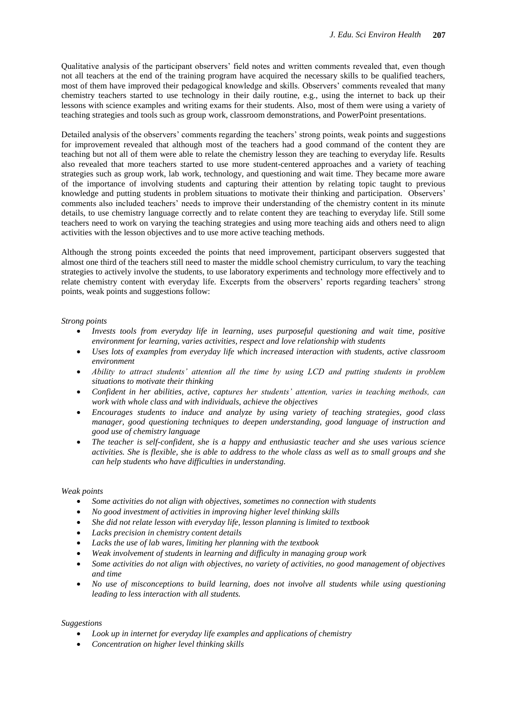Qualitative analysis of the participant observers" field notes and written comments revealed that, even though not all teachers at the end of the training program have acquired the necessary skills to be qualified teachers, most of them have improved their pedagogical knowledge and skills. Observers" comments revealed that many chemistry teachers started to use technology in their daily routine, e.g., using the internet to back up their lessons with science examples and writing exams for their students. Also, most of them were using a variety of teaching strategies and tools such as group work, classroom demonstrations, and PowerPoint presentations.

Detailed analysis of the observers" comments regarding the teachers" strong points, weak points and suggestions for improvement revealed that although most of the teachers had a good command of the content they are teaching but not all of them were able to relate the chemistry lesson they are teaching to everyday life. Results also revealed that more teachers started to use more student-centered approaches and a variety of teaching strategies such as group work, lab work, technology, and questioning and wait time. They became more aware of the importance of involving students and capturing their attention by relating topic taught to previous knowledge and putting students in problem situations to motivate their thinking and participation. Observers" comments also included teachers" needs to improve their understanding of the chemistry content in its minute details, to use chemistry language correctly and to relate content they are teaching to everyday life. Still some teachers need to work on varying the teaching strategies and using more teaching aids and others need to align activities with the lesson objectives and to use more active teaching methods.

Although the strong points exceeded the points that need improvement, participant observers suggested that almost one third of the teachers still need to master the middle school chemistry curriculum, to vary the teaching strategies to actively involve the students, to use laboratory experiments and technology more effectively and to relate chemistry content with everyday life. Excerpts from the observers" reports regarding teachers" strong points, weak points and suggestions follow:

## *Strong points*

- *Invests tools from everyday life in learning, uses purposeful questioning and wait time, positive environment for learning, varies activities, respect and love relationship with students*
- *Uses lots of examples from everyday life which increased interaction with students, active classroom environment*
- *Ability to attract students' attention all the time by using LCD and putting students in problem situations to motivate their thinking*
- *Confident in her abilities, active, captures her students' attention, varies in teaching methods, can work with whole class and with individuals, achieve the objectives*
- *Encourages students to induce and analyze by using variety of teaching strategies, good class manager, good questioning techniques to deepen understanding, good language of instruction and good use of chemistry language*
- *The teacher is self-confident, she is a happy and enthusiastic teacher and she uses various science activities. She is flexible, she is able to address to the whole class as well as to small groups and she can help students who have difficulties in understanding.*

#### *Weak points*

- *Some activities do not align with objectives, sometimes no connection with students*
- *No good investment of activities in improving higher level thinking skills*
- *She did not relate lesson with everyday life, lesson planning is limited to textbook*
- *Lacks precision in chemistry content details*
- *Lacks the use of lab wares, limiting her planning with the textbook*
- *Weak involvement of students in learning and difficulty in managing group work*
- *Some activities do not align with objectives, no variety of activities, no good management of objectives and time*
- *No use of misconceptions to build learning, does not involve all students while using questioning leading to less interaction with all students.*

#### *Suggestions*

- *Look up in internet for everyday life examples and applications of chemistry*
- *Concentration on higher level thinking skills*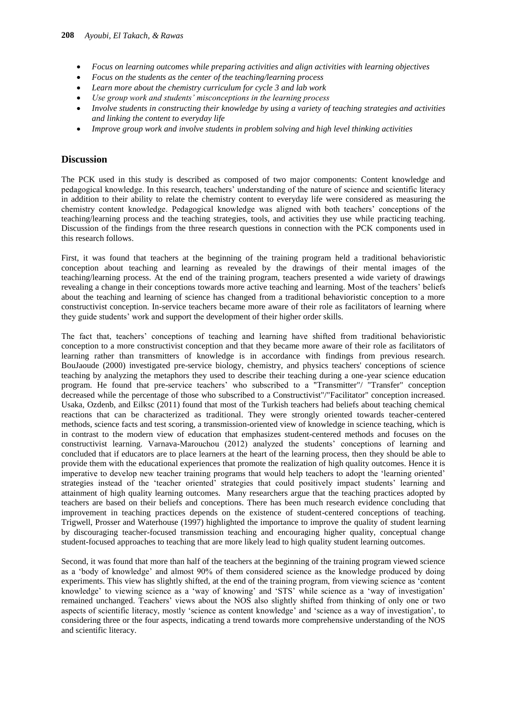- *Focus on learning outcomes while preparing activities and align activities with learning objectives*
- *Focus on the students as the center of the teaching/learning process*
- *Learn more about the chemistry curriculum for cycle 3 and lab work*
- *Use group work and students' misconceptions in the learning process*
- *Involve students in constructing their knowledge by using a variety of teaching strategies and activities and linking the content to everyday life*
- *Improve group work and involve students in problem solving and high level thinking activities*

## **Discussion**

The PCK used in this study is described as composed of two major components: Content knowledge and pedagogical knowledge. In this research, teachers" understanding of the nature of science and scientific literacy in addition to their ability to relate the chemistry content to everyday life were considered as measuring the chemistry content knowledge. Pedagogical knowledge was aligned with both teachers" conceptions of the teaching/learning process and the teaching strategies, tools, and activities they use while practicing teaching. Discussion of the findings from the three research questions in connection with the PCK components used in this research follows.

First, it was found that teachers at the beginning of the training program held a traditional behavioristic conception about teaching and learning as revealed by the drawings of their mental images of the teaching/learning process. At the end of the training program, teachers presented a wide variety of drawings revealing a change in their conceptions towards more active teaching and learning. Most of the teachers" beliefs about the teaching and learning of science has changed from a traditional behavioristic conception to a more constructivist conception. In-service teachers became more aware of their role as facilitators of learning where they guide students" work and support the development of their higher order skills.

The fact that, teachers" conceptions of teaching and learning have shifted from traditional behavioristic conception to a more constructivist conception and that they became more aware of their role as facilitators of learning rather than transmitters of knowledge is in accordance with findings from previous research. BouJaoude (2000) investigated pre-service biology, chemistry, and physics teachers' conceptions of science teaching by analyzing the metaphors they used to describe their teaching during a one-year science education program. He found that pre-service teachers' who subscribed to a "Transmitter"/ "Transfer" conception decreased while the percentage of those who subscribed to a Constructivist"/"Facilitator" conception increased. Usaka, Ozdenb, and Eilksc (2011) found that most of the Turkish teachers had beliefs about teaching chemical reactions that can be characterized as traditional. They were strongly oriented towards teacher-centered methods, science facts and test scoring, a transmission-oriented view of knowledge in science teaching, which is in contrast to the modern view of education that emphasizes student-centered methods and focuses on the constructivist learning. Varnava-Marouchou (2012) analyzed the students" conceptions of learning and concluded that if educators are to place learners at the heart of the learning process, then they should be able to provide them with the educational experiences that promote the realization of high quality outcomes. Hence it is imperative to develop new teacher training programs that would help teachers to adopt the "learning oriented" strategies instead of the 'teacher oriented' strategies that could positively impact students' learning and attainment of high quality learning outcomes. Many researchers argue that the teaching practices adopted by teachers are based on their beliefs and conceptions. There has been much research evidence concluding that improvement in teaching practices depends on the existence of student-centered conceptions of teaching. Trigwell, Prosser and Waterhouse (1997) highlighted the importance to improve the quality of student learning by discouraging teacher-focused transmission teaching and encouraging higher quality, conceptual change student-focused approaches to teaching that are more likely lead to high quality student learning outcomes.

Second, it was found that more than half of the teachers at the beginning of the training program viewed science as a "body of knowledge" and almost 90% of them considered science as the knowledge produced by doing experiments. This view has slightly shifted, at the end of the training program, from viewing science as "content knowledge" to viewing science as a "way of knowing" and "STS" while science as a "way of investigation" remained unchanged. Teachers" views about the NOS also slightly shifted from thinking of only one or two aspects of scientific literacy, mostly "science as content knowledge" and "science as a way of investigation", to considering three or the four aspects, indicating a trend towards more comprehensive understanding of the NOS and scientific literacy.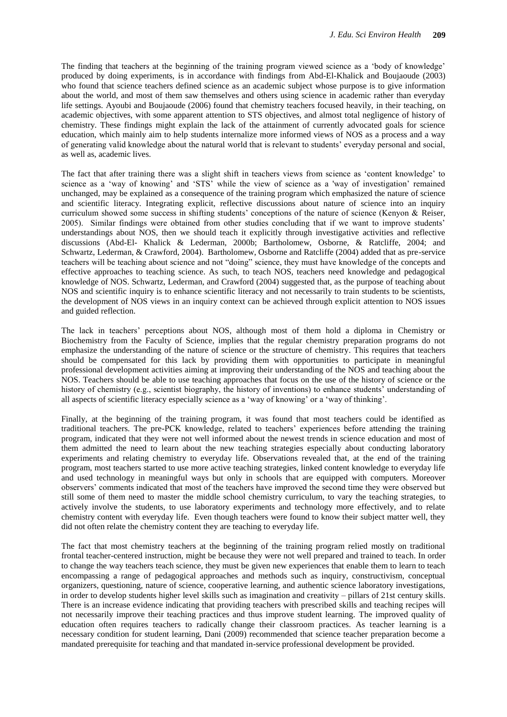The finding that teachers at the beginning of the training program viewed science as a "body of knowledge" produced by doing experiments, is in accordance with findings from Abd-El-Khalick and Boujaoude (2003) who found that science teachers defined science as an academic subject whose purpose is to give information about the world, and most of them saw themselves and others using science in academic rather than everyday life settings. Ayoubi and Boujaoude (2006) found that chemistry teachers focused heavily, in their teaching, on academic objectives, with some apparent attention to STS objectives, and almost total negligence of history of chemistry. These findings might explain the lack of the attainment of currently advocated goals for science education, which mainly aim to help students internalize more informed views of NOS as a process and a way of generating valid knowledge about the natural world that is relevant to students" everyday personal and social, as well as, academic lives.

The fact that after training there was a slight shift in teachers views from science as "content knowledge" to science as a "way of knowing" and "STS" while the view of science as a 'way of investigation" remained unchanged, may be explained as a consequence of the training program which emphasized the nature of science and scientific literacy. Integrating explicit, reflective discussions about nature of science into an inquiry curriculum showed some success in shifting students" conceptions of the nature of science (Kenyon & Reiser, 2005). Similar findings were obtained from other studies concluding that if we want to improve students" understandings about NOS, then we should teach it explicitly through investigative activities and reflective discussions (Abd-El- Khalick & Lederman, 2000b; Bartholomew, Osborne, & Ratcliffe, 2004; and Schwartz, Lederman, & Crawford, 2004). Bartholomew, Osborne and Ratcliffe (2004) added that as pre-service teachers will be teaching about science and not "doing" science, they must have knowledge of the concepts and effective approaches to teaching science. As such, to teach NOS, teachers need knowledge and pedagogical knowledge of NOS. Schwartz, Lederman, and Crawford (2004) suggested that, as the purpose of teaching about NOS and scientific inquiry is to enhance scientific literacy and not necessarily to train students to be scientists, the development of NOS views in an inquiry context can be achieved through explicit attention to NOS issues and guided reflection.

The lack in teachers" perceptions about NOS, although most of them hold a diploma in Chemistry or Biochemistry from the Faculty of Science, implies that the regular chemistry preparation programs do not emphasize the understanding of the nature of science or the structure of chemistry. This requires that teachers should be compensated for this lack by providing them with opportunities to participate in meaningful professional development activities aiming at improving their understanding of the NOS and teaching about the NOS. Teachers should be able to use teaching approaches that focus on the use of the history of science or the history of chemistry (e.g., scientist biography, the history of inventions) to enhance students' understanding of all aspects of scientific literacy especially science as a "way of knowing" or a "way of thinking".

Finally, at the beginning of the training program, it was found that most teachers could be identified as traditional teachers. The pre-PCK knowledge, related to teachers" experiences before attending the training program, indicated that they were not well informed about the newest trends in science education and most of them admitted the need to learn about the new teaching strategies especially about conducting laboratory experiments and relating chemistry to everyday life. Observations revealed that, at the end of the training program, most teachers started to use more active teaching strategies, linked content knowledge to everyday life and used technology in meaningful ways but only in schools that are equipped with computers. Moreover observers" comments indicated that most of the teachers have improved the second time they were observed but still some of them need to master the middle school chemistry curriculum, to vary the teaching strategies, to actively involve the students, to use laboratory experiments and technology more effectively, and to relate chemistry content with everyday life. Even though teachers were found to know their subject matter well, they did not often relate the chemistry content they are teaching to everyday life.

The fact that most chemistry teachers at the beginning of the training program relied mostly on traditional frontal teacher-centered instruction, might be because they were not well prepared and trained to teach. In order to change the way teachers teach science, they must be given new experiences that enable them to learn to teach encompassing a range of pedagogical approaches and methods such as inquiry, constructivism, conceptual organizers, questioning, nature of science, cooperative learning, and authentic science laboratory investigations, in order to develop students higher level skills such as imagination and creativity – pillars of 21st century skills. There is an increase evidence indicating that providing teachers with prescribed skills and teaching recipes will not necessarily improve their teaching practices and thus improve student learning. The improved quality of education often requires teachers to radically change their classroom practices. As teacher learning is a necessary condition for student learning, Dani (2009) recommended that science teacher preparation become a mandated prerequisite for teaching and that mandated in-service professional development be provided.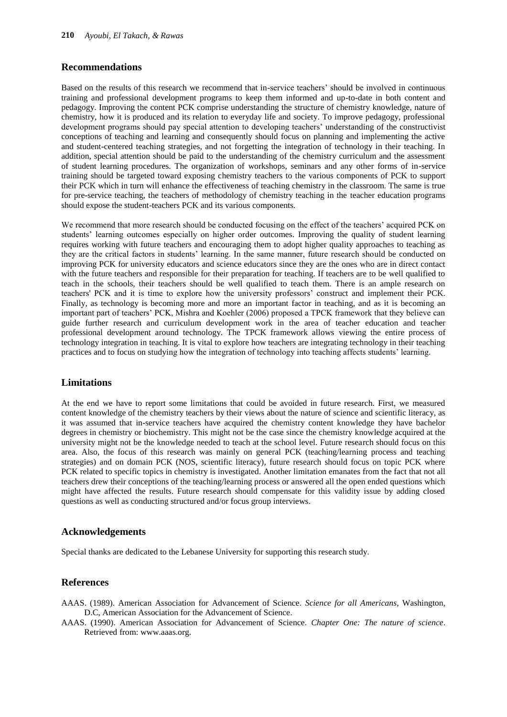## **Recommendations**

Based on the results of this research we recommend that in-service teachers" should be involved in continuous training and professional development programs to keep them informed and up-to-date in both content and pedagogy. Improving the content PCK comprise understanding the structure of chemistry knowledge, nature of chemistry, how it is produced and its relation to everyday life and society. To improve pedagogy, professional development programs should pay special attention to developing teachers" understanding of the constructivist conceptions of teaching and learning and consequently should focus on planning and implementing the active and student-centered teaching strategies, and not forgetting the integration of technology in their teaching. In addition, special attention should be paid to the understanding of the chemistry curriculum and the assessment of student learning procedures. The organization of workshops, seminars and any other forms of in-service training should be targeted toward exposing chemistry teachers to the various components of PCK to support their PCK which in turn will enhance the effectiveness of teaching chemistry in the classroom. The same is true for pre-service teaching, the teachers of methodology of chemistry teaching in the teacher education programs should expose the student-teachers PCK and its various components.

We recommend that more research should be conducted focusing on the effect of the teachers' acquired PCK on students' learning outcomes especially on higher order outcomes. Improving the quality of student learning requires working with future teachers and encouraging them to adopt higher quality approaches to teaching as they are the critical factors in students" learning. In the same manner, future research should be conducted on improving PCK for university educators and science educators since they are the ones who are in direct contact with the future teachers and responsible for their preparation for teaching. If teachers are to be well qualified to teach in the schools, their teachers should be well qualified to teach them. There is an ample research on teachers' PCK and it is time to explore how the university professors" construct and implement their PCK. Finally, as technology is becoming more and more an important factor in teaching, and as it is becoming an important part of teachers" PCK, Mishra and Koehler (2006) proposed a TPCK framework that they believe can guide further research and curriculum development work in the area of teacher education and teacher professional development around technology. The TPCK framework allows viewing the entire process of technology integration in teaching. It is vital to explore how teachers are integrating technology in their teaching practices and to focus on studying how the integration of technology into teaching affects students" learning.

## **Limitations**

At the end we have to report some limitations that could be avoided in future research. First, we measured content knowledge of the chemistry teachers by their views about the nature of science and scientific literacy, as it was assumed that in-service teachers have acquired the chemistry content knowledge they have bachelor degrees in chemistry or biochemistry. This might not be the case since the chemistry knowledge acquired at the university might not be the knowledge needed to teach at the school level. Future research should focus on this area. Also, the focus of this research was mainly on general PCK (teaching/learning process and teaching strategies) and on domain PCK (NOS, scientific literacy), future research should focus on topic PCK where PCK related to specific topics in chemistry is investigated. Another limitation emanates from the fact that not all teachers drew their conceptions of the teaching/learning process or answered all the open ended questions which might have affected the results. Future research should compensate for this validity issue by adding closed questions as well as conducting structured and/or focus group interviews.

#### **Acknowledgements**

Special thanks are dedicated to the Lebanese University for supporting this research study.

## **References**

- AAAS. (1989). American Association for Advancement of Science. *Science for all Americans*, Washington, D.C, American Association for the Advancement of Science.
- AAAS. (1990). American Association for Advancement of Science. *Chapter One: The nature of science*. Retrieved from: www.aaas.org.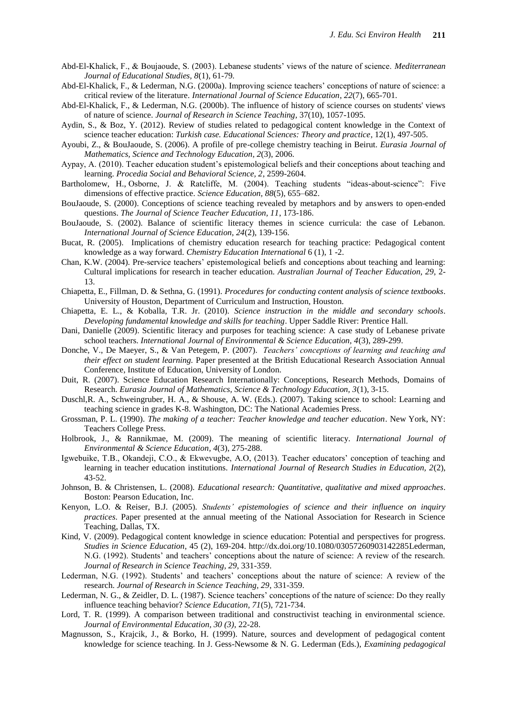- Abd-El-Khalick, F., & Boujaoude, S. (2003). Lebanese students" views of the nature of science. *Mediterranean Journal of Educational Studies, 8*(1), 61-79*.*
- Abd-El-Khalick, F., & Lederman, N.G. (2000a). Improving science teachers" conceptions of nature of science: a critical review of the literature. *International Journal of Science Education*, *22*(7), 665-701.
- Abd-El-Khalick, F., & Lederman, N.G. (2000b). The influence of history of science courses on students' views of nature of science. *Journal of Research in Science Teaching*, 37(10), 1057-1095.
- Aydin, S., & Boz, Y. (2012). Review of studies related to pedagogical content knowledge in the Context of science teacher education: *Turkish case. Educational Sciences: Theory and practice*, 12(1), 497-505.
- Ayoubi, Z., & BouJaoude, S. (2006). A profile of pre-college chemistry teaching in Beirut. *Eurasia Journal of Mathematics, Science and Technology Education, 2*(3), 2006.
- Aypay, A. (2010). Teacher education student's epistemological beliefs and their conceptions about teaching and learning. *Procedia Social and Behavioral Science, 2*, 2599-2604.
- Bartholomew, H., Osborne, J. & Ratcliffe, M. (2004). Teaching students "ideas-about-science": Five dimensions of effective practice. *Science Education, 88*(5), 655–682.
- BouJaoude, S. (2000). Conceptions of science teaching revealed by metaphors and by answers to open-ended questions. *The Journal of Science Teacher Education, 11*, 173-186.
- BouJaoude, S. (2002). Balance of scientific literacy themes in science curricula: the case of Lebanon. *International Journal of Science Education, 24*(2), 139-156.
- Bucat, R. (2005). Implications of chemistry education research for teaching practice: Pedagogical content knowledge as a way forward. *Chemistry Education International* 6 (1), 1 -2.
- Chan, K.W. (2004). Pre-service teachers" epistemological beliefs and conceptions about teaching and learning: Cultural implications for research in teacher education. *Australian Journal of Teacher Education, 29*, 2- 13.
- Chiapetta, E., Fillman, D. & Sethna, G. (1991). *Procedures for conducting content analysis of science textbooks*. University of Houston, Department of Curriculum and Instruction, Houston.
- Chiapetta, E. L., & Koballa, T.R. Jr. (2010). *Science instruction in the middle and secondary schools*. *Developing fundamental knowledge and skills for teaching*. Upper Saddle River: Prentice Hall.
- Dani, Danielle (2009). Scientific literacy and purposes for teaching science: A case study of Lebanese private school teachers. *International Journal of Environmental & Science Education, 4*(3), 289-299.
- Donche, V., De Maeyer, S., & Van Petegem, P. (2007). *Teachers' conceptions of learning and teaching and their effect on student learning.* Paper presented at the British Educational Research Association Annual Conference, Institute of Education, University of London.
- Duit, R. (2007). Science Education Research Internationally: Conceptions, Research Methods, Domains of Research. *Eurasia Journal of Mathematics, Science & Technology Education, 3*(1), 3-15.
- Duschl,R. A., Schweingruber, H. A., & Shouse, A. W. (Eds.). (2007). Taking science to school: Learning and teaching science in grades K-8. Washington, DC: The National Academies Press.
- Grossman, P. L. (1990). *The making of a teacher: Teacher knowledge and teacher education*. New York, NY: Teachers College Press.
- Holbrook, J., & Rannikmae, M. (2009). The meaning of scientific literacy. *International Journal of Environmental & Science Education, 4*(3), 275-288.
- Igwebuike, T.B., Okandeji, C.O., & Ekwevugbe, A.O, (2013). Teacher educators" conception of teaching and learning in teacher education institutions. *International Journal of Research Studies in Education, 2*(2), 43-52.
- Johnson, B. & Christensen, L. (2008). *Educational research: Quantitative, qualitative and mixed approaches*. Boston: Pearson Education, Inc.
- Kenyon, L.O. & Reiser, B.J. (2005). *Students' epistemologies of science and their influence on inquiry practices*. Paper presented at the annual meeting of the National Association for Research in Science Teaching, Dallas, TX.
- Kind, V. (2009). Pedagogical content knowledge in science education: Potential and perspectives for progress. *Studies in Science Education*, 45 (2), 169-204. http://dx.doi.org/10.1080/03057260903142285Lederman, N.G. (1992). Students" and teachers" conceptions about the nature of science: A review of the research. *Journal of Research in Science Teaching, 29*, 331-359.
- Lederman, N.G. (1992). Students' and teachers' conceptions about the nature of science: A review of the research. *Journal of Research in Science Teaching, 29*, 331-359.
- Lederman, N. G., & Zeidler, D. L. (1987). Science teachers" conceptions of the nature of science: Do they really influence teaching behavior? *Science Education, 71*(5), 721-734.
- Lord, T. R. (1999). A comparison between traditional and constructivist teaching in environmental science. *Journal of Environmental Education, 30 (3)*, 22-28.
- Magnusson, S., Krajcik, J., & Borko, H. (1999). Nature, sources and development of pedagogical content knowledge for science teaching. In J. Gess-Newsome & N. G. Lederman (Eds.), *Examining pedagogical*